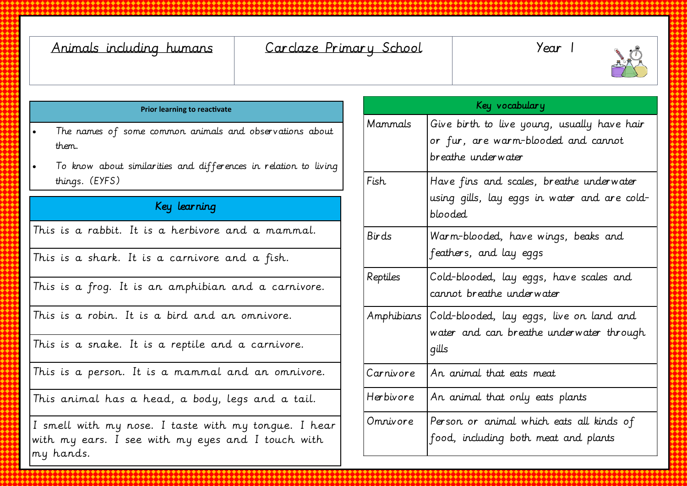| Animals including humans<br>Carclaze Primary School                                                                                  |           | Year 1                                                                                                   |
|--------------------------------------------------------------------------------------------------------------------------------------|-----------|----------------------------------------------------------------------------------------------------------|
| <b>Prior learning to reactivate</b>                                                                                                  |           | Key vocabulary                                                                                           |
| The names of some common animals and observations about<br>them.<br>To know about similarities and differences in relation to living | Mammals   | Give birth to live young, usually have hair<br>or fur, are warm-blooded and cannot<br>breathe underwater |
| things. (EYFS)                                                                                                                       | Fish      | Have fins and scales, breathe underwater<br>using gills, lay eggs in water and are cold-<br>blooded      |
| Key learning                                                                                                                         |           |                                                                                                          |
| This is a rabbit. It is a herbivore and a mammal.                                                                                    | Birds     | Warm-blooded, have wings, beaks and                                                                      |
| This is a shark. It is a carnivore and a fish.                                                                                       |           | feathers, and lay eggs                                                                                   |
| This is a frog. It is an amphibian and a carnivore.                                                                                  | Reptiles  | Cold-blooded, lay eggs, have scales and<br>cannot breathe underwater                                     |
| This is a robin. It is a bird and an omnivore.                                                                                       |           | Amphibians Cold-blooded, lay eggs, live on land and<br>water and can breathe underwater through<br>qills |
| This is a snake. It is a reptile and a carnivore.                                                                                    |           |                                                                                                          |
| This is a person. It is a mammal and an omnivore.                                                                                    | Carnivore | An animal that eats meat                                                                                 |
| This animal has a head, a body, legs and a tail.                                                                                     | Herbivore | An animal that only eats plants                                                                          |
| I smell with my nose. I taste with my tongue. I hear<br>with my ears. I see with my eyes and I touch with<br>my hands.               | Omnivore  | Person or animal which eats all kinds of<br>food, including both meat and plants                         |